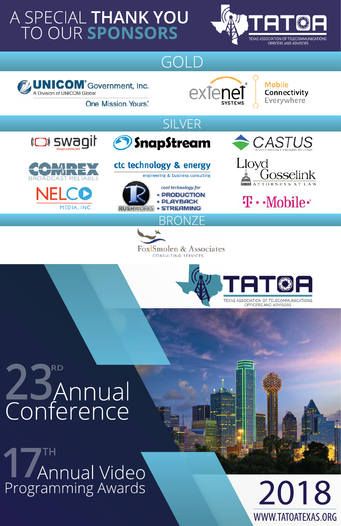# A SPECIAL THANK YOU<br>TO OUR SPONSORS



## GOLD





Mobile Connectivity Everywhere

**One Mission, Yours.** 





### O SnapStream





### ctc technology & energy engineering & business consulting

cool technology for **PRODUCTION PLAYBACK STREAMING NORKS** 













# Conference

# TH Annual Video Programming Awards



WWW.TATOATEXAS.ORG